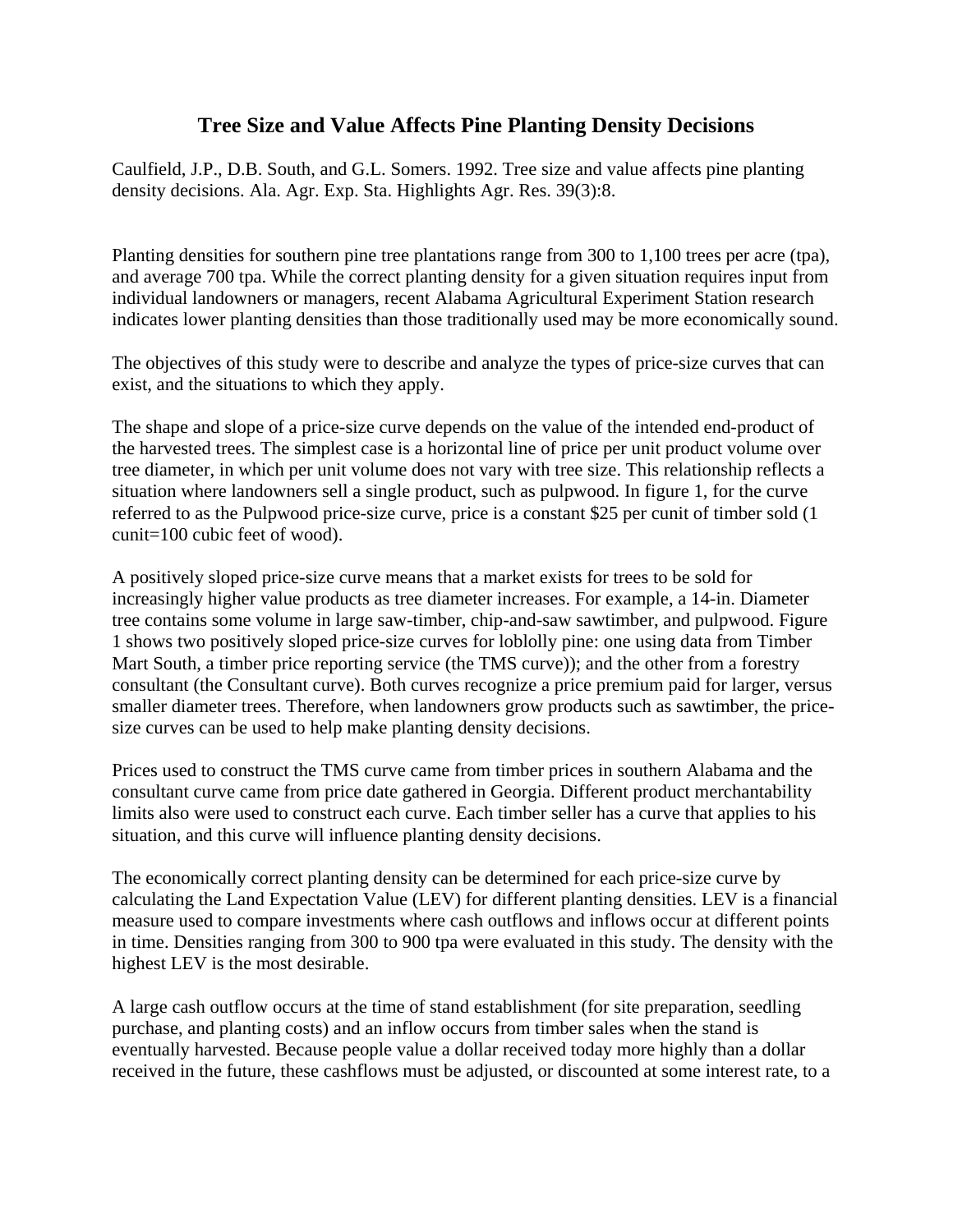## **Tree Size and Value Affects Pine Planting Density Decisions**

Caulfield, J.P., D.B. South, and G.L. Somers. 1992. Tree size and value affects pine planting density decisions. Ala. Agr. Exp. Sta. Highlights Agr. Res. 39(3):8.

Planting densities for southern pine tree plantations range from 300 to 1,100 trees per acre (tpa), and average 700 tpa. While the correct planting density for a given situation requires input from individual landowners or managers, recent Alabama Agricultural Experiment Station research indicates lower planting densities than those traditionally used may be more economically sound.

The objectives of this study were to describe and analyze the types of price-size curves that can exist, and the situations to which they apply.

The shape and slope of a price-size curve depends on the value of the intended end-product of the harvested trees. The simplest case is a horizontal line of price per unit product volume over tree diameter, in which per unit volume does not vary with tree size. This relationship reflects a situation where landowners sell a single product, such as pulpwood. In figure 1, for the curve referred to as the Pulpwood price-size curve, price is a constant \$25 per cunit of timber sold (1 cunit=100 cubic feet of wood).

A positively sloped price-size curve means that a market exists for trees to be sold for increasingly higher value products as tree diameter increases. For example, a 14-in. Diameter tree contains some volume in large saw-timber, chip-and-saw sawtimber, and pulpwood. Figure 1 shows two positively sloped price-size curves for loblolly pine: one using data from Timber Mart South, a timber price reporting service (the TMS curve)); and the other from a forestry consultant (the Consultant curve). Both curves recognize a price premium paid for larger, versus smaller diameter trees. Therefore, when landowners grow products such as sawtimber, the pricesize curves can be used to help make planting density decisions.

Prices used to construct the TMS curve came from timber prices in southern Alabama and the consultant curve came from price date gathered in Georgia. Different product merchantability limits also were used to construct each curve. Each timber seller has a curve that applies to his situation, and this curve will influence planting density decisions.

The economically correct planting density can be determined for each price-size curve by calculating the Land Expectation Value (LEV) for different planting densities. LEV is a financial measure used to compare investments where cash outflows and inflows occur at different points in time. Densities ranging from 300 to 900 tpa were evaluated in this study. The density with the highest LEV is the most desirable.

A large cash outflow occurs at the time of stand establishment (for site preparation, seedling purchase, and planting costs) and an inflow occurs from timber sales when the stand is eventually harvested. Because people value a dollar received today more highly than a dollar received in the future, these cashflows must be adjusted, or discounted at some interest rate, to a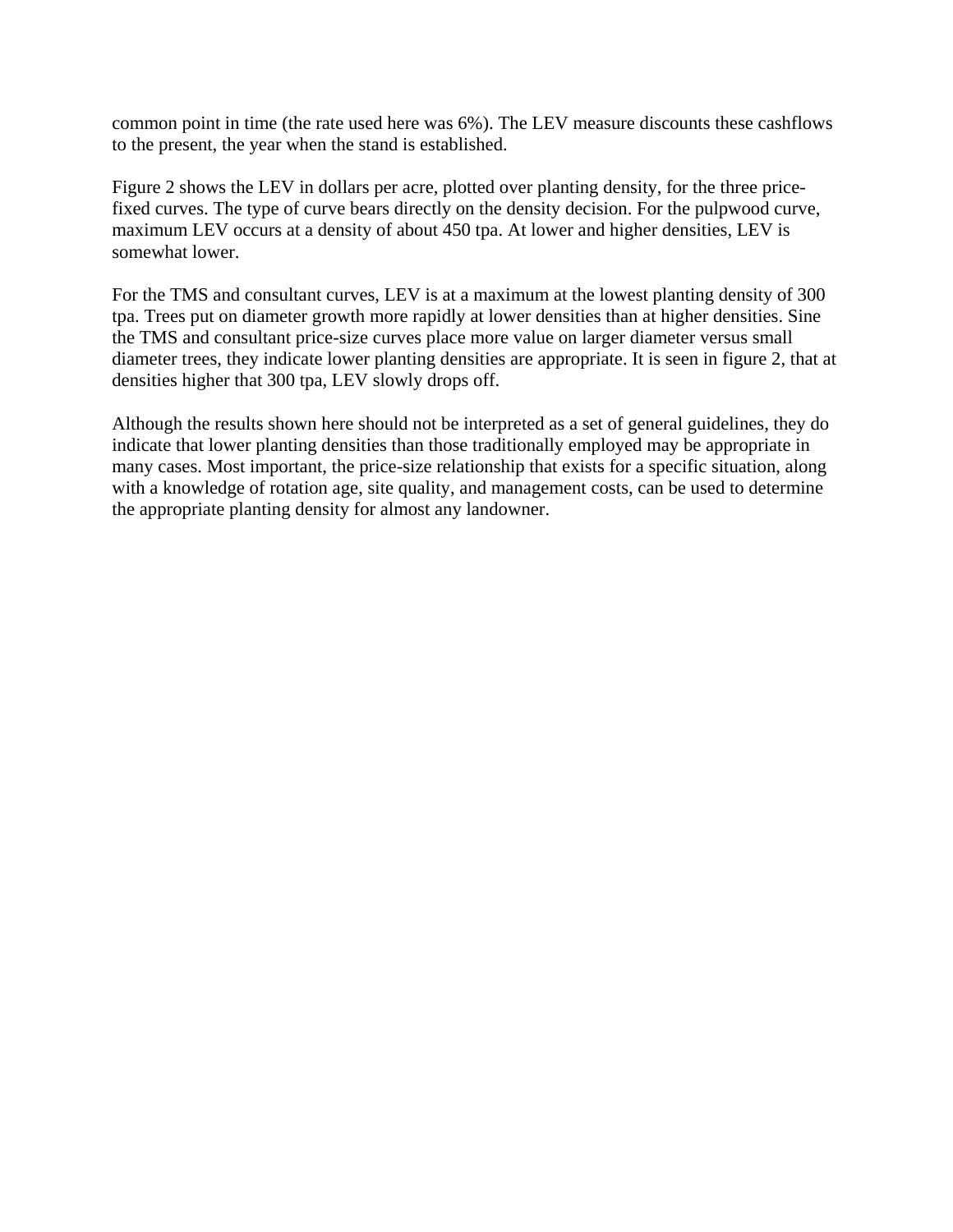common point in time (the rate used here was 6%). The LEV measure discounts these cashflows to the present, the year when the stand is established.

Figure 2 shows the LEV in dollars per acre, plotted over planting density, for the three pricefixed curves. The type of curve bears directly on the density decision. For the pulpwood curve, maximum LEV occurs at a density of about 450 tpa. At lower and higher densities, LEV is somewhat lower.

For the TMS and consultant curves, LEV is at a maximum at the lowest planting density of 300 tpa. Trees put on diameter growth more rapidly at lower densities than at higher densities. Sine the TMS and consultant price-size curves place more value on larger diameter versus small diameter trees, they indicate lower planting densities are appropriate. It is seen in figure 2, that at densities higher that 300 tpa, LEV slowly drops off.

Although the results shown here should not be interpreted as a set of general guidelines, they do indicate that lower planting densities than those traditionally employed may be appropriate in many cases. Most important, the price-size relationship that exists for a specific situation, along with a knowledge of rotation age, site quality, and management costs, can be used to determine the appropriate planting density for almost any landowner.